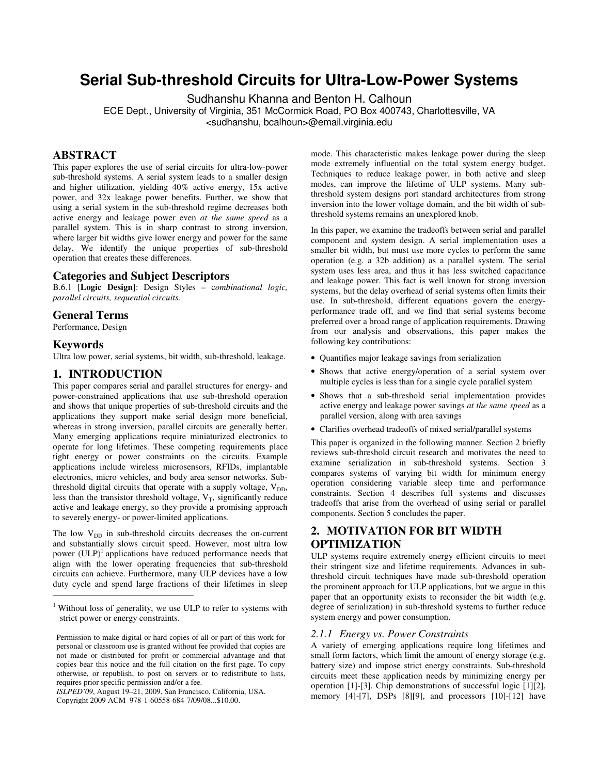# **Serial Sub-threshold Circuits for Ultra-Low-Power Systems**

Sudhanshu Khanna and Benton H. Calhoun

ECE Dept., University of Virginia, 351 McCormick Road, PO Box 400743, Charlottesville, VA <sudhanshu, bcalhoun>@email.virginia.edu

# **ABSTRACT**

This paper explores the use of serial circuits for ultra-low-power sub-threshold systems. A serial system leads to a smaller design and higher utilization, yielding 40% active energy, 15x active power, and 32x leakage power benefits. Further, we show that using a serial system in the sub-threshold regime decreases both active energy and leakage power even *at the same speed* as a parallel system. This is in sharp contrast to strong inversion, where larger bit widths give lower energy and power for the same delay. We identify the unique properties of sub-threshold operation that creates these differences.

# **Categories and Subject Descriptors**

B.6.1 [**Logic Design**]: Design Styles – c*ombinational logic, parallel circuits, sequential circuits.* 

# **General Terms**

Performance, Design

# **Keywords**

Ultra low power, serial systems, bit width, sub-threshold, leakage.

# **1. INTRODUCTION**

This paper compares serial and parallel structures for energy- and power-constrained applications that use sub-threshold operation and shows that unique properties of sub-threshold circuits and the applications they support make serial design more beneficial, whereas in strong inversion, parallel circuits are generally better. Many emerging applications require miniaturized electronics to operate for long lifetimes. These competing requirements place tight energy or power constraints on the circuits. Example applications include wireless microsensors, RFIDs, implantable electronics, micro vehicles, and body area sensor networks. Subthreshold digital circuits that operate with a supply voltage,  $V_{DD}$ , less than the transistor threshold voltage,  $V_T$ , significantly reduce active and leakage energy, so they provide a promising approach to severely energy- or power-limited applications.

The low  $V_{DD}$  in sub-threshold circuits decreases the on-current and substantially slows circuit speed. However, most ultra low power  $(ULP)^1$  applications have reduced performance needs that align with the lower operating frequencies that sub-threshold circuits can achieve. Furthermore, many ULP devices have a low duty cycle and spend large fractions of their lifetimes in sleep  $\overline{a}$ 

*ISLPED'09*, August 19–21, 2009, San Francisco, California, USA. Copyright 2009 ACM 978-1-60558-684-7/09/08...\$10.00.

mode. This characteristic makes leakage power during the sleep mode extremely influential on the total system energy budget. Techniques to reduce leakage power, in both active and sleep modes, can improve the lifetime of ULP systems. Many subthreshold system designs port standard architectures from strong inversion into the lower voltage domain, and the bit width of subthreshold systems remains an unexplored knob.

In this paper, we examine the tradeoffs between serial and parallel component and system design. A serial implementation uses a smaller bit width, but must use more cycles to perform the same operation (e.g. a 32b addition) as a parallel system. The serial system uses less area, and thus it has less switched capacitance and leakage power. This fact is well known for strong inversion systems, but the delay overhead of serial systems often limits their use. In sub-threshold, different equations govern the energyperformance trade off, and we find that serial systems become preferred over a broad range of application requirements. Drawing from our analysis and observations, this paper makes the following key contributions:

- Quantifies major leakage savings from serialization
- Shows that active energy/operation of a serial system over multiple cycles is less than for a single cycle parallel system
- Shows that a sub-threshold serial implementation provides active energy and leakage power savings *at the same speed* as a parallel version, along with area savings
- Clarifies overhead tradeoffs of mixed serial/parallel systems

This paper is organized in the following manner. Section 2 briefly reviews sub-threshold circuit research and motivates the need to examine serialization in sub-threshold systems. Section 3 compares systems of varying bit width for minimum energy operation considering variable sleep time and performance constraints. Section 4 describes full systems and discusses tradeoffs that arise from the overhead of using serial or parallel components. Section 5 concludes the paper.

# **2. MOTIVATION FOR BIT WIDTH OPTIMIZATION**

ULP systems require extremely energy efficient circuits to meet their stringent size and lifetime requirements. Advances in subthreshold circuit techniques have made sub-threshold operation the prominent approach for ULP applications, but we argue in this paper that an opportunity exists to reconsider the bit width (e.g. degree of serialization) in sub-threshold systems to further reduce system energy and power consumption.

# *2.1.1 Energy vs. Power Constraints*

A variety of emerging applications require long lifetimes and small form factors, which limit the amount of energy storage (e.g. battery size) and impose strict energy constraints. Sub-threshold circuits meet these application needs by minimizing energy per operation [1]-[3]. Chip demonstrations of successful logic [1][2], memory [4]-[7], DSPs [8][9], and processors [10]-[12] have

<sup>&</sup>lt;sup>1</sup> Without loss of generality, we use ULP to refer to systems with strict power or energy constraints.

Permission to make digital or hard copies of all or part of this work for personal or classroom use is granted without fee provided that copies are not made or distributed for profit or commercial advantage and that copies bear this notice and the full citation on the first page. To copy otherwise, or republish, to post on servers or to redistribute to lists, requires prior specific permission and/or a fee.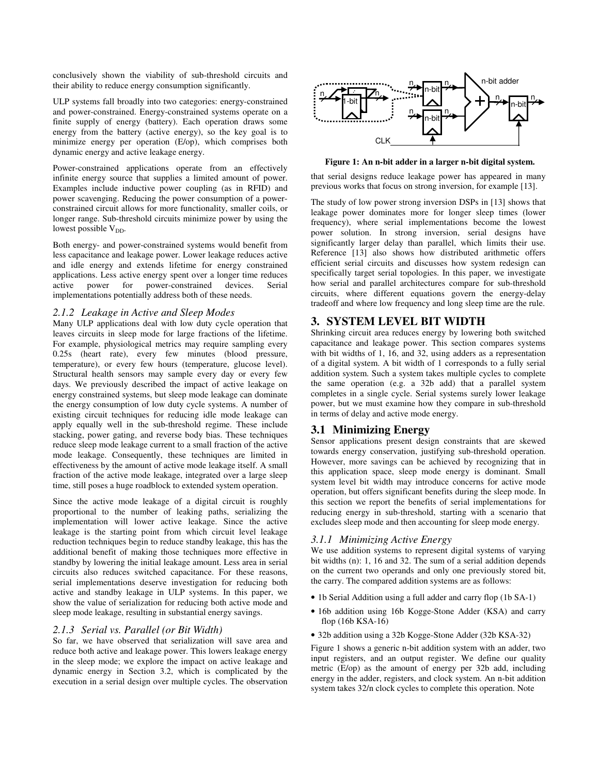conclusively shown the viability of sub-threshold circuits and their ability to reduce energy consumption significantly.

ULP systems fall broadly into two categories: energy-constrained and power-constrained. Energy-constrained systems operate on a finite supply of energy (battery). Each operation draws some energy from the battery (active energy), so the key goal is to minimize energy per operation (E/op), which comprises both dynamic energy and active leakage energy.

Power-constrained applications operate from an effectively infinite energy source that supplies a limited amount of power. Examples include inductive power coupling (as in RFID) and power scavenging. Reducing the power consumption of a powerconstrained circuit allows for more functionality, smaller coils, or longer range. Sub-threshold circuits minimize power by using the lowest possible  $V_{DD}$ .

Both energy- and power-constrained systems would benefit from less capacitance and leakage power. Lower leakage reduces active and idle energy and extends lifetime for energy constrained applications. Less active energy spent over a longer time reduces active power for power-constrained devices. Serial implementations potentially address both of these needs.

#### *2.1.2 Leakage in Active and Sleep Modes*

Many ULP applications deal with low duty cycle operation that leaves circuits in sleep mode for large fractions of the lifetime. For example, physiological metrics may require sampling every 0.25s (heart rate), every few minutes (blood pressure, temperature), or every few hours (temperature, glucose level). Structural health sensors may sample every day or every few days. We previously described the impact of active leakage on energy constrained systems, but sleep mode leakage can dominate the energy consumption of low duty cycle systems. A number of existing circuit techniques for reducing idle mode leakage can apply equally well in the sub-threshold regime. These include stacking, power gating, and reverse body bias. These techniques reduce sleep mode leakage current to a small fraction of the active mode leakage. Consequently, these techniques are limited in effectiveness by the amount of active mode leakage itself. A small fraction of the active mode leakage, integrated over a large sleep time, still poses a huge roadblock to extended system operation.

Since the active mode leakage of a digital circuit is roughly proportional to the number of leaking paths, serializing the implementation will lower active leakage. Since the active leakage is the starting point from which circuit level leakage reduction techniques begin to reduce standby leakage, this has the additional benefit of making those techniques more effective in standby by lowering the initial leakage amount. Less area in serial circuits also reduces switched capacitance. For these reasons, serial implementations deserve investigation for reducing both active and standby leakage in ULP systems. In this paper, we show the value of serialization for reducing both active mode and sleep mode leakage, resulting in substantial energy savings.

## *2.1.3 Serial vs. Parallel (or Bit Width)*

So far, we have observed that serialization will save area and reduce both active and leakage power. This lowers leakage energy in the sleep mode; we explore the impact on active leakage and dynamic energy in Section 3.2, which is complicated by the execution in a serial design over multiple cycles. The observation



**Figure 1: An n-bit adder in a larger n-bit digital system.** 

that serial designs reduce leakage power has appeared in many previous works that focus on strong inversion, for example [13].

The study of low power strong inversion DSPs in [13] shows that leakage power dominates more for longer sleep times (lower frequency), where serial implementations become the lowest power solution. In strong inversion, serial designs have significantly larger delay than parallel, which limits their use. Reference [13] also shows how distributed arithmetic offers efficient serial circuits and discusses how system redesign can specifically target serial topologies. In this paper, we investigate how serial and parallel architectures compare for sub-threshold circuits, where different equations govern the energy-delay tradeoff and where low frequency and long sleep time are the rule.

# **3. SYSTEM LEVEL BIT WIDTH**

Shrinking circuit area reduces energy by lowering both switched capacitance and leakage power. This section compares systems with bit widths of 1, 16, and 32, using adders as a representation of a digital system. A bit width of 1 corresponds to a fully serial addition system. Such a system takes multiple cycles to complete the same operation (e.g. a 32b add) that a parallel system completes in a single cycle. Serial systems surely lower leakage power, but we must examine how they compare in sub-threshold in terms of delay and active mode energy.

# **3.1 Minimizing Energy**

Sensor applications present design constraints that are skewed towards energy conservation, justifying sub-threshold operation. However, more savings can be achieved by recognizing that in this application space, sleep mode energy is dominant. Small system level bit width may introduce concerns for active mode operation, but offers significant benefits during the sleep mode. In this section we report the benefits of serial implementations for reducing energy in sub-threshold, starting with a scenario that excludes sleep mode and then accounting for sleep mode energy.

# *3.1.1 Minimizing Active Energy*

We use addition systems to represent digital systems of varying bit widths (n): 1, 16 and 32. The sum of a serial addition depends on the current two operands and only one previously stored bit, the carry. The compared addition systems are as follows:

- 1b Serial Addition using a full adder and carry flop (1b SA-1)
- 16b addition using 16b Kogge-Stone Adder (KSA) and carry flop (16b KSA-16)
- 32b addition using a 32b Kogge-Stone Adder (32b KSA-32)

Figure 1 shows a generic n-bit addition system with an adder, two input registers, and an output register. We define our quality metric (E/op) as the amount of energy per 32b add, including energy in the adder, registers, and clock system. An n-bit addition system takes 32/n clock cycles to complete this operation. Note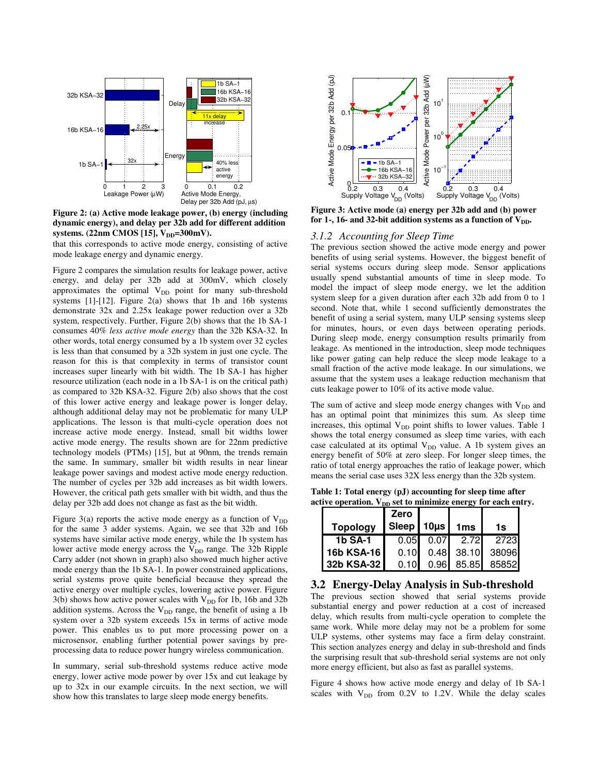

**Figure 2: (a) Active mode leakage power, (b) energy (including dynamic energy), and delay per 32b add for different addition**  systems. (22nm CMOS [15], V<sub>DD</sub>=300mV).

that this corresponds to active mode energy, consisting of active mode leakage energy and dynamic energy.

Figure 2 compares the simulation results for leakage power, active energy, and delay per 32b add at 300mV, which closely approximates the optimal  $V_{DD}$  point for many sub-threshold systems [1]-[12]. Figure 2(a) shows that 1b and 16b systems demonstrate 32x and 2.25x leakage power reduction over a 32b system, respectively. Further, Figure 2(b) shows that the 1b SA-1 consumes 40% *less active mode energy* than the 32b KSA-32. In other words, total energy consumed by a 1b system over 32 cycles is less than that consumed by a 32b system in just one cycle. The reason for this is that complexity in terms of transistor count increases super linearly with bit width. The 1b SA-1 has higher resource utilization (each node in a 1b SA-1 is on the critical path) as compared to 32b KSA-32. Figure 2(b) also shows that the cost of this lower active energy and leakage power is longer delay, although additional delay may not be problematic for many ULP applications. The lesson is that multi-cycle operation does not increase active mode energy. Instead, small bit widths lower active mode energy. The results shown are for 22nm predictive technology models (PTMs) [15], but at 90nm, the trends remain the same. In summary, smaller bit width results in near linear leakage power savings and modest active mode energy reduction. The number of cycles per 32b add increases as bit width lowers. However, the critical path gets smaller with bit width, and thus the delay per 32b add does not change as fast as the bit width.

Figure 3(a) reports the active mode energy as a function of  $V_{DD}$ for the same 3 adder systems. Again, we see that 32b and 16b systems have similar active mode energy, while the 1b system has lower active mode energy across the  $V_{DD}$  range. The 32b Ripple Carry adder (not shown in graph) also showed much higher active mode energy than the 1b SA-1. In power constrained applications, serial systems prove quite beneficial because they spread the active energy over multiple cycles, lowering active power. Figure  $3(b)$  shows how active power scales with  $V_{DD}$  for 1b, 16b and 32b addition systems. Across the  $V_{DD}$  range, the benefit of using a 1b system over a 32b system exceeds 15x in terms of active mode power. This enables us to put more processing power on a microsensor, enabling further potential power savings by preprocessing data to reduce power hungry wireless communication.

In summary, serial sub-threshold systems reduce active mode energy, lower active mode power by over 15x and cut leakage by up to 32x in our example circuits. In the next section, we will show how this translates to large sleep mode energy benefits.



**Figure 3: Active mode (a) energy per 32b add and (b) power**  for 1-, 16- and 32-bit addition systems as a function of  $V_{DD}$ .

# *3.1.2 Accounting for Sleep Time*

The previous section showed the active mode energy and power benefits of using serial systems. However, the biggest benefit of serial systems occurs during sleep mode. Sensor applications usually spend substantial amounts of time in sleep mode. To model the impact of sleep mode energy, we let the addition system sleep for a given duration after each 32b add from 0 to 1 second. Note that, while 1 second sufficiently demonstrates the benefit of using a serial system, many ULP sensing systems sleep for minutes, hours, or even days between operating periods. During sleep mode, energy consumption results primarily from leakage. As mentioned in the introduction, sleep mode techniques like power gating can help reduce the sleep mode leakage to a small fraction of the active mode leakage. In our simulations, we assume that the system uses a leakage reduction mechanism that cuts leakage power to 10% of its active mode value.

The sum of active and sleep mode energy changes with  $V_{DD}$  and has an optimal point that minimizes this sum. As sleep time increases, this optimal  $V_{DD}$  point shifts to lower values. Table 1 shows the total energy consumed as sleep time varies, with each case calculated at its optimal  $V_{DD}$  value. A 1b system gives an energy benefit of 50% at zero sleep. For longer sleep times, the ratio of total energy approaches the ratio of leakage power, which means the serial case uses 32X less energy than the 32b system.

**Table 1: Total energy (pJ) accounting for sleep time after**  active operation. V<sub>DD</sub> set to minimize energy for each entry.

|                 | Zero           |                  |                         |
|-----------------|----------------|------------------|-------------------------|
| <b>Topology</b> | Sleep 10us 1ms |                  | 1s                      |
| 1b SA-1         |                | $0.05$ 0.07 2.72 | 27231                   |
| 16b KSA-16      |                |                  | $0.10$ 0.48 38.10 38096 |
| 32b KSA-32      |                |                  | $0.10$ 0.96 85.85 85852 |

## **3.2 Energy-Delay Analysis in Sub-threshold**

The previous section showed that serial systems provide substantial energy and power reduction at a cost of increased delay, which results from multi-cycle operation to complete the same work. While more delay may not be a problem for some ULP systems, other systems may face a firm delay constraint. This section analyzes energy and delay in sub-threshold and finds the surprising result that sub-threshold serial systems are not only more energy efficient, but also as fast as parallel systems.

Figure 4 shows how active mode energy and delay of 1b SA-1 scales with  $V_{DD}$  from 0.2V to 1.2V. While the delay scales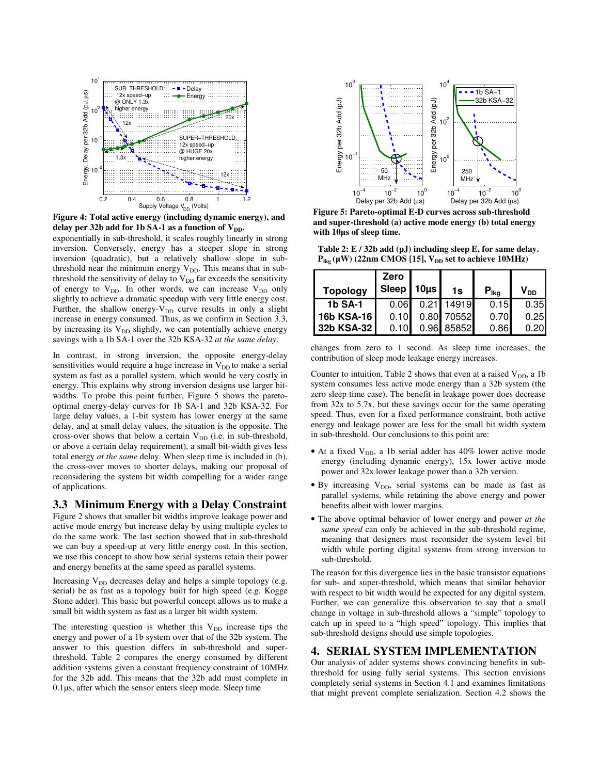

**Figure 4: Total active energy (including dynamic energy), and**  delay per 32b add for 1b SA-1 as a function of V<sub>DD</sub>.

exponentially in sub-threshold, it scales roughly linearly in strong inversion. Conversely, energy has a steeper slope in strong inversion (quadratic), but a relatively shallow slope in subthreshold near the minimum energy  $V_{DD}$ . This means that in subthreshold the sensitivity of delay to  $V_{DD}$  far exceeds the sensitivity of energy to  $V_{DD}$ . In other words, we can increase  $V_{DD}$  only slightly to achieve a dramatic speedup with very little energy cost. Further, the shallow energy- $V_{DD}$  curve results in only a slight increase in energy consumed. Thus, as we confirm in Section 3.3, by increasing its  $V_{DD}$  slightly, we can potentially achieve energy savings with a 1b SA-1 over the 32b KSA-32 *at the same delay*.

In contrast, in strong inversion, the opposite energy-delay sensitivities would require a huge increase in  $V_{DD}$  to make a serial system as fast as a parallel system, which would be very costly in energy. This explains why strong inversion designs use larger bitwidths. To probe this point further, Figure 5 shows the paretooptimal energy-delay curves for 1b SA-1 and 32b KSA-32. For large delay values, a 1-bit system has lower energy at the same delay, and at small delay values, the situation is the opposite. The cross-over shows that below a certain  $V_{DD}$  (i.e. in sub-threshold, or above a certain delay requirement), a small bit-width gives less total energy *at the same* delay. When sleep time is included in (b), the cross-over moves to shorter delays, making our proposal of reconsidering the system bit width compelling for a wider range of applications.

## **3.3 Minimum Energy with a Delay Constraint**

Figure 2 shows that smaller bit widths improve leakage power and active mode energy but increase delay by using multiple cycles to do the same work. The last section showed that in sub-threshold we can buy a speed-up at very little energy cost. In this section, we use this concept to show how serial systems retain their power and energy benefits at the same speed as parallel systems.

Increasing  $V_{DD}$  decreases delay and helps a simple topology (e.g. serial) be as fast as a topology built for high speed (e.g. Kogge Stone adder). This basic but powerful concept allows us to make a small bit width system as fast as a larger bit width system.

The interesting question is whether this  $V_{DD}$  increase tips the energy and power of a 1b system over that of the 32b system. The answer to this question differs in sub-threshold and superthreshold. Table 2 compares the energy consumed by different addition systems given a constant frequency constraint of 10MHz for the 32b add. This means that the 32b add must complete in 0.1µs, after which the sensor enters sleep mode. Sleep time



**Figure 5: Pareto-optimal E-D curves across sub-threshold and super-threshold (a) active mode energy (b) total energy with 10**µ**s of sleep time.** 

**Table 2: E / 32b add (pJ) including sleep E, for same delay.**   $P_{\text{lkg}}(\mu W)$  (22nm CMOS [15],  $V_{\text{DD}}$  set to achieve 10MHz)

| <b>Topology</b> | Zero<br>Sleep $10\mu s$ | 1s         | $P_{Ika}$ | $V_{DD}$ |
|-----------------|-------------------------|------------|-----------|----------|
| <b>1b SA-1</b>  | 0.06                    | 0.21 14919 | 0.15      | 0.35     |
| 16b KSA-16      | 0.10                    | 0.80 70552 | 0.70      | 0.25     |
| 32b KSA-32      | 0.10                    | 0.96 85852 | 0.86      | 0.20     |

changes from zero to 1 second. As sleep time increases, the contribution of sleep mode leakage energy increases.

Counter to intuition, Table 2 shows that even at a raised  $V_{DD}$ , a 1b system consumes less active mode energy than a 32b system (the zero sleep time case). The benefit in leakage power does decrease from 32x to 5.7x, but these savings occur for the same operating speed. Thus, even for a fixed performance constraint, both active energy and leakage power are less for the small bit width system in sub-threshold. Our conclusions to this point are:

- At a fixed  $V_{DD}$ , a 1b serial adder has 40% lower active mode energy (including dynamic energy), 15x lower active mode power and 32x lower leakage power than a 32b version.
- $\bullet$  By increasing  $V_{DD}$ , serial systems can be made as fast as parallel systems, while retaining the above energy and power benefits albeit with lower margins.
- The above optimal behavior of lower energy and power *at the same speed* can only be achieved in the sub-threshold regime, meaning that designers must reconsider the system level bit width while porting digital systems from strong inversion to sub-threshold.

The reason for this divergence lies in the basic transistor equations for sub- and super-threshold, which means that similar behavior with respect to bit width would be expected for any digital system. Further, we can generalize this observation to say that a small change in voltage in sub-threshold allows a "simple" topology to catch up in speed to a "high speed" topology. This implies that sub-threshold designs should use simple topologies.

# **4. SERIAL SYSTEM IMPLEMENTATION**

Our analysis of adder systems shows convincing benefits in subthreshold for using fully serial systems. This section envisions completely serial systems in Section 4.1 and examines limitations that might prevent complete serialization. Section 4.2 shows the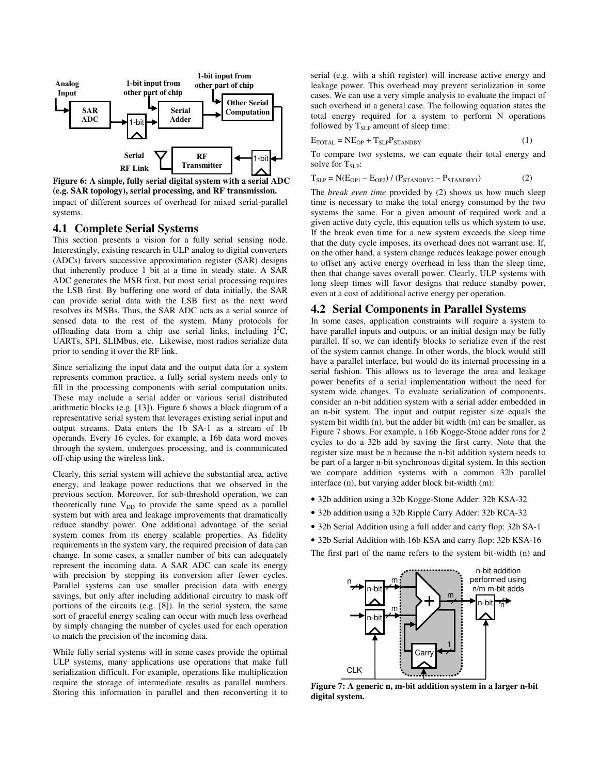

impact of different sources of overhead for mixed serial-parallel systems. **Figure 6: A simple, fully serial digital system with a serial ADC (e.g. SAR topology), serial processing, and RF transmission.** 

#### **4.1 Complete Serial Systems**

This section presents a vision for a fully serial sensing node. Interestingly, existing research in ULP analog to digital converters (ADCs) favors successive approximation register (SAR) designs that inherently produce 1 bit at a time in steady state. A SAR ADC generates the MSB first, but most serial processing requires the LSB first. By buffering one word of data initially, the SAR can provide serial data with the LSB first as the next word resolves its MSBs. Thus, the SAR ADC acts as a serial source of sensed data to the rest of the system. Many protocols for offloading data from a chip use serial links, including  $I<sup>2</sup>C$ , UARTs, SPI, SLIMbus, etc. Likewise, most radios serialize data prior to sending it over the RF link.

Since serializing the input data and the output data for a system represents common practice, a fully serial system needs only to fill in the processing components with serial computation units. These may include a serial adder or various serial distributed arithmetic blocks (e.g. [13]). Figure 6 shows a block diagram of a representative serial system that leverages existing serial input and output streams. Data enters the 1b SA-1 as a stream of 1b operands. Every 16 cycles, for example, a 16b data word moves through the system, undergoes processing, and is communicated off-chip using the wireless link.

Clearly, this serial system will achieve the substantial area, active energy, and leakage power reductions that we observed in the previous section. Moreover, for sub-threshold operation, we can theoretically tune  $V_{DD}$  to provide the same speed as a parallel system but with area and leakage improvements that dramatically reduce standby power. One additional advantage of the serial system comes from its energy scalable properties. As fidelity requirements in the system vary, the required precision of data can change. In some cases, a smaller number of bits can adequately represent the incoming data. A SAR ADC can scale its energy with precision by stopping its conversion after fewer cycles. Parallel systems can use smaller precision data with energy savings, but only after including additional circuitry to mask off portions of the circuits (e.g. [8]). In the serial system, the same sort of graceful energy scaling can occur with much less overhead by simply changing the number of cycles used for each operation to match the precision of the incoming data.

While fully serial systems will in some cases provide the optimal ULP systems, many applications use operations that make full serialization difficult. For example, operations like multiplication require the storage of intermediate results as parallel numbers. Storing this information in parallel and then reconverting it to

serial (e.g. with a shift register) will increase active energy and leakage power. This overhead may prevent serialization in some cases. We can use a very simple analysis to evaluate the impact of such overhead in a general case. The following equation states the total energy required for a system to perform N operations followed by  $T_{\text{SLP}}$  amount of sleep time:

$$
E_{\text{TOTAL}} = N E_{\text{OP}} + T_{\text{SLP}} P_{\text{STANDBY}} \tag{1}
$$

To compare two systems, we can equate their total energy and solve for  $T_{SIP}$ :

 $T_{SLP} = N(E_{OP1} - E_{OP2}) / (P_{STANDBY2} - P_{STANDBY1})$  (2)

The *break even time* provided by (2) shows us how much sleep time is necessary to make the total energy consumed by the two systems the same. For a given amount of required work and a given active duty cycle, this equation tells us which system to use. If the break even time for a new system exceeds the sleep time that the duty cycle imposes, its overhead does not warrant use. If, on the other hand, a system change reduces leakage power enough to offset any active energy overhead in less than the sleep time, then that change saves overall power. Clearly, ULP systems with long sleep times will favor designs that reduce standby power, even at a cost of additional active energy per operation.

#### **4.2 Serial Components in Parallel Systems**

In some cases, application constraints will require a system to have parallel inputs and outputs, or an initial design may be fully parallel. If so, we can identify blocks to serialize even if the rest of the system cannot change. In other words, the block would still have a parallel interface, but would do its internal processing in a serial fashion. This allows us to leverage the area and leakage power benefits of a serial implementation without the need for system wide changes. To evaluate serialization of components, consider an n-bit addition system with a serial adder embedded in an n-bit system. The input and output register size equals the system bit width (n), but the adder bit width (m) can be smaller, as Figure 7 shows. For example, a 16b Kogge-Stone adder runs for 2 cycles to do a 32b add by saving the first carry. Note that the register size must be n because the n-bit addition system needs to be part of a larger n-bit synchronous digital system. In this section we compare addition systems with a common 32b parallel interface (n), but varying adder block bit-width (m):

- 32b addition using a 32b Kogge-Stone Adder: 32b KSA-32
- 32b addition using a 32b Ripple Carry Adder: 32b RCA-32
- 32b Serial Addition using a full adder and carry flop: 32b SA-1
- 32b Serial Addition with 16b KSA and carry flop: 32b KSA-16

The first part of the name refers to the system bit-width (n) and



**Figure 7: A generic n, m-bit addition system in a larger n-bit digital system.**